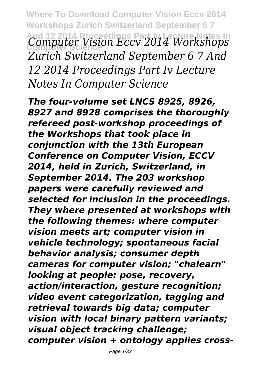**Where To Download Computer Vision Eccv 2014 Workshops Zurich Switzerland September 6 7 And 12 2014 Proceedings Part Iv Lecture Notes In Computer Science** *Computer Vision Eccv 2014 Workshops Zurich Switzerland September 6 7 And 12 2014 Proceedings Part Iv Lecture Notes In Computer Science*

*The four-volume set LNCS 8925, 8926, 8927 and 8928 comprises the thoroughly refereed post-workshop proceedings of the Workshops that took place in conjunction with the 13th European Conference on Computer Vision, ECCV 2014, held in Zurich, Switzerland, in September 2014. The 203 workshop papers were carefully reviewed and selected for inclusion in the proceedings. They where presented at workshops with the following themes: where computer vision meets art; computer vision in vehicle technology; spontaneous facial behavior analysis; consumer depth cameras for computer vision; "chalearn" looking at people: pose, recovery, action/interaction, gesture recognition; video event categorization, tagging and retrieval towards big data; computer vision with local binary pattern variants; visual object tracking challenge; computer vision + ontology applies cross-*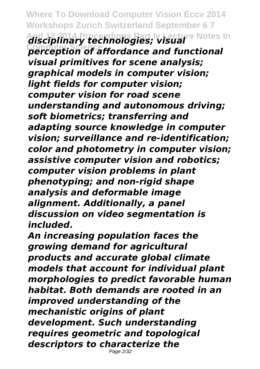**Where To Download Computer Vision Eccv 2014 Workshops Zurich Switzerland September 6 7 And 12 2014 Proceedings Part Iv Lecture Notes In Computer Science** *disciplinary technologies; visual perception of affordance and functional visual primitives for scene analysis; graphical models in computer vision; light fields for computer vision; computer vision for road scene understanding and autonomous driving; soft biometrics; transferring and adapting source knowledge in computer vision; surveillance and re-identification; color and photometry in computer vision; assistive computer vision and robotics; computer vision problems in plant phenotyping; and non-rigid shape analysis and deformable image alignment. Additionally, a panel discussion on video segmentation is included.*

*An increasing population faces the growing demand for agricultural products and accurate global climate models that account for individual plant morphologies to predict favorable human habitat. Both demands are rooted in an improved understanding of the mechanistic origins of plant development. Such understanding requires geometric and topological descriptors to characterize the* Page 2/32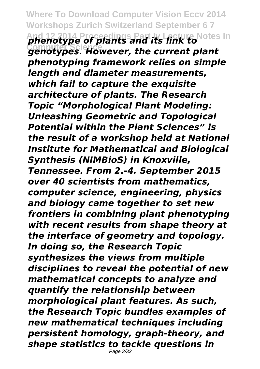**Where To Download Computer Vision Eccv 2014 Workshops Zurich Switzerland September 6 7 And 12 2014 Proceedings Part Iv Lecture Notes In Computer Science** *phenotype of plants and its link to genotypes. However, the current plant phenotyping framework relies on simple length and diameter measurements, which fail to capture the exquisite architecture of plants. The Research Topic "Morphological Plant Modeling: Unleashing Geometric and Topological Potential within the Plant Sciences" is the result of a workshop held at National Institute for Mathematical and Biological Synthesis (NIMBioS) in Knoxville, Tennessee. From 2.-4. September 2015 over 40 scientists from mathematics, computer science, engineering, physics and biology came together to set new frontiers in combining plant phenotyping with recent results from shape theory at the interface of geometry and topology. In doing so, the Research Topic synthesizes the views from multiple disciplines to reveal the potential of new mathematical concepts to analyze and quantify the relationship between morphological plant features. As such, the Research Topic bundles examples of new mathematical techniques including persistent homology, graph-theory, and shape statistics to tackle questions in* Page 3/32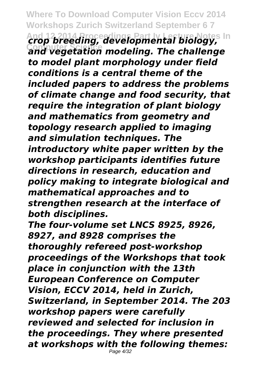**Where To Download Computer Vision Eccv 2014 Workshops Zurich Switzerland September 6 7 And 12 2014 Proceedings Part Iv Lecture Notes In Computer Science** *crop breeding, developmental biology, and vegetation modeling. The challenge to model plant morphology under field conditions is a central theme of the included papers to address the problems of climate change and food security, that require the integration of plant biology and mathematics from geometry and topology research applied to imaging and simulation techniques. The introductory white paper written by the workshop participants identifies future directions in research, education and policy making to integrate biological and mathematical approaches and to strengthen research at the interface of both disciplines.*

*The four-volume set LNCS 8925, 8926, 8927, and 8928 comprises the thoroughly refereed post-workshop proceedings of the Workshops that took place in conjunction with the 13th European Conference on Computer Vision, ECCV 2014, held in Zurich, Switzerland, in September 2014. The 203 workshop papers were carefully reviewed and selected for inclusion in the proceedings. They where presented at workshops with the following themes:* Page 4/32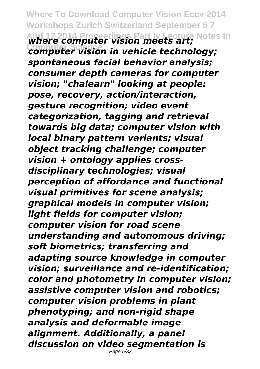**Where To Download Computer Vision Eccv 2014 Workshops Zurich Switzerland September 6 7 And 12 2014 Proceedings Part Iv Lecture Notes In Computer Science** *where computer vision meets art; computer vision in vehicle technology; spontaneous facial behavior analysis; consumer depth cameras for computer vision; "chalearn" looking at people: pose, recovery, action/interaction, gesture recognition; video event categorization, tagging and retrieval towards big data; computer vision with local binary pattern variants; visual object tracking challenge; computer vision + ontology applies crossdisciplinary technologies; visual perception of affordance and functional visual primitives for scene analysis; graphical models in computer vision; light fields for computer vision; computer vision for road scene understanding and autonomous driving; soft biometrics; transferring and adapting source knowledge in computer vision; surveillance and re-identification; color and photometry in computer vision; assistive computer vision and robotics; computer vision problems in plant phenotyping; and non-rigid shape analysis and deformable image alignment. Additionally, a panel discussion on video segmentation is* Page 5/32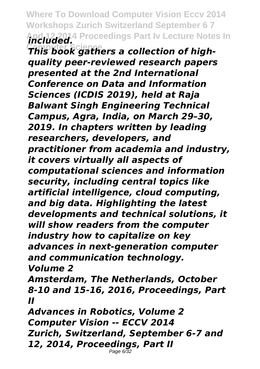**Where To Download Computer Vision Eccv 2014 Workshops Zurich Switzerland September 6 7** And 12,2014 Proceedings Part Iv Lecture Notes In<br>**The Wand Science a collection of high** 

*This book gathers a collection of highquality peer-reviewed research papers presented at the 2nd International Conference on Data and Information Sciences (ICDIS 2019), held at Raja Balwant Singh Engineering Technical Campus, Agra, India, on March 29–30, 2019. In chapters written by leading researchers, developers, and practitioner from academia and industry, it covers virtually all aspects of computational sciences and information security, including central topics like artificial intelligence, cloud computing, and big data. Highlighting the latest developments and technical solutions, it will show readers from the computer industry how to capitalize on key advances in next-generation computer and communication technology. Volume 2*

*Amsterdam, The Netherlands, October 8-10 and 15-16, 2016, Proceedings, Part II*

*Advances in Robotics, Volume 2 Computer Vision -- ECCV 2014 Zurich, Switzerland, September 6-7 and 12, 2014, Proceedings, Part II* Page 6/32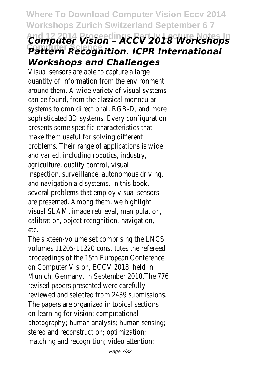**Where To Download Computer Vision Eccv 2014 Workshops Zurich Switzerland September 6 7 And 12 2014 Proceedings Part Iv Lecture Notes In Computer Science** *Computer Vision – ACCV 2018 Workshops Pattern Recognition. ICPR International Workshops and Challenges*

Visual sensors are able to capture a large quantity of information from the environment around them. A wide variety of visual systems can be found, from the classical monocular systems to omnidirectional, RGB-D, and more sophisticated 3D systems. Every configuration presents some specific characteristics that make them useful for solving different problems. Their range of applications is wide and varied, including robotics, industry, agriculture, quality control, visual inspection, surveillance, autonomous driving, and navigation aid systems. In this book, several problems that employ visual sensors are presented. Among them, we highlight visual SLAM, image retrieval, manipulation, calibration, object recognition, navigation, etc.

The sixteen-volume set comprising the LNCS volumes 11205-11220 constitutes the refereed proceedings of the 15th European Conference on Computer Vision, ECCV 2018, held in Munich, Germany, in September 2018.The 776 revised papers presented were carefully reviewed and selected from 2439 submissions. The papers are organized in topical sections on learning for vision; computational photography; human analysis; human sensing; stereo and reconstruction; optimization; matching and recognition; video attention;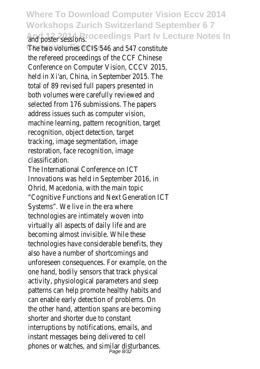**Where To Download Computer Vision Eccv 2014 Workshops Zurich Switzerland September 6 7** and poster sessions. Proceedings Part Iv Lecture Notes In

The two volumes CCIS 546 and 547 constitute the refereed proceedings of the CCF Chinese Conference on Computer Vision, CCCV 2015, held in Xi'an, China, in September 2015. The total of 89 revised full papers presented in both volumes were carefully reviewed and selected from 176 submissions. The papers address issues such as computer vision, machine learning, pattern recognition, target recognition, object detection, target tracking, image segmentation, image restoration, face recognition, image classification.

The International Conference on ICT Innovations was held in September 2016, in Ohrid, Macedonia, with the main topic "Cognitive Functions and Next Generation ICT Systems". We live in the era where technologies are intimately woven into virtually all aspects of daily life and are becoming almost invisible. While these technologies have considerable benefits, they also have a number of shortcomings and unforeseen consequences. For example, on the one hand, bodily sensors that track physical activity, physiological parameters and sleep patterns can help promote healthy habits and can enable early detection of problems. On the other hand, attention spans are becoming shorter and shorter due to constant interruptions by notifications, emails, and instant messages being delivered to cell phones or watches, and similar disturbances.<br>Page 8/32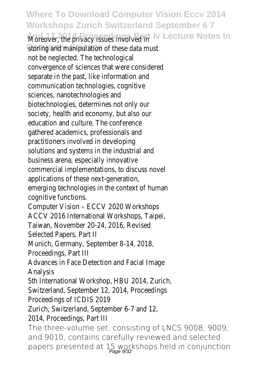**Where To Download Computer Vision Eccv 2014 Workshops Zurich Switzerland September 6 7** Moreover, the privacy issues involved in Part Iv Lecture Notes In storing and manipulation of these data must not be neglected. The technological convergence of sciences that were considered separate in the past, like information and communication technologies, cognitive sciences, nanotechnologies and biotechnologies, determines not only our society, health and economy, but also our education and culture. The conference gathered academics, professionals and practitioners involved in developing solutions and systems in the industrial and business arena, especially innovative commercial implementations, to discuss novel applications of these next-generation, emerging technologies in the context of human cognitive functions. Computer Vision – ECCV 2020 Workshops ACCV 2016 International Workshops, Taipei, Taiwan, November 20-24, 2016, Revised Selected Papers, Part II Munich, Germany, September 8-14, 2018, Proceedings, Part III Advances in Face Detection and Facial Image Analysis 5th International Workshop, HBU 2014, Zurich, Switzerland, September 12, 2014, Proceedings Proceedings of ICDIS 2019 Zurich, Switzerland, September 6-7 and 12, 2014, Proceedings, Part III The three-volume set, consisting of LNCS 9008, 9009, and 9010, contains carefully reviewed and selected papers presented at 15 workshops held in conjunction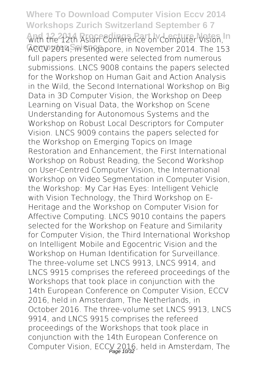**Where To Download Computer Vision Eccv 2014 Workshops Zurich Switzerland September 6 7** with the 12th Asian Conference on Computer Vision, In ACCV 2014, in Singapore, in November 2014. The 153 full papers presented were selected from numerous submissions. LNCS 9008 contains the papers selected for the Workshop on Human Gait and Action Analysis in the Wild, the Second International Workshop on Big Data in 3D Computer Vision, the Workshop on Deep Learning on Visual Data, the Workshop on Scene Understanding for Autonomous Systems and the Workshop on Robust Local Descriptors for Computer Vision. LNCS 9009 contains the papers selected for the Workshop on Emerging Topics on Image Restoration and Enhancement, the First International Workshop on Robust Reading, the Second Workshop on User-Centred Computer Vision, the International Workshop on Video Segmentation in Computer Vision, the Workshop: My Car Has Eyes: Intelligent Vehicle with Vision Technology, the Third Workshop on E-Heritage and the Workshop on Computer Vision for Affective Computing. LNCS 9010 contains the papers selected for the Workshop on Feature and Similarity for Computer Vision, the Third International Workshop on Intelligent Mobile and Egocentric Vision and the Workshop on Human Identification for Surveillance. The three-volume set LNCS 9913, LNCS 9914, and LNCS 9915 comprises the refereed proceedings of the Workshops that took place in conjunction with the 14th European Conference on Computer Vision, ECCV 2016, held in Amsterdam, The Netherlands, in October 2016. The three-volume set LNCS 9913, LNCS 9914, and LNCS 9915 comprises the refereed proceedings of the Workshops that took place in conjunction with the 14th European Conference on Computer Vision, ECCV 2016, held in Amsterdam, The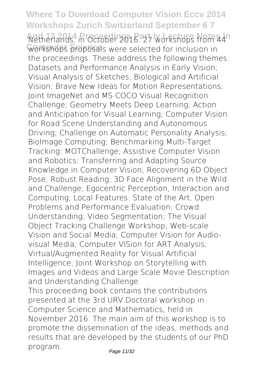**Where To Download Computer Vision Eccv 2014 Workshops Zurich Switzerland September 6 7** Netherlands, in October 2016. 27 workshops from 44<sup>1</sup> workshops proposals were selected for inclusion in the proceedings. These address the following themes: Datasets and Performance Analysis in Early Vision; Visual Analysis of Sketches; Biological and Artificial Vision; Brave New Ideas for Motion Representations; Joint ImageNet and MS COCO Visual Recognition Challenge; Geometry Meets Deep Learning; Action and Anticipation for Visual Learning; Computer Vision for Road Scene Understanding and Autonomous Driving; Challenge on Automatic Personality Analysis; BioImage Computing; Benchmarking Multi-Target Tracking: MOTChallenge; Assistive Computer Vision and Robotics; Transferring and Adapting Source Knowledge in Computer Vision; Recovering 6D Object Pose; Robust Reading; 3D Face Alignment in the Wild and Challenge; Egocentric Perception, Interaction and Computing; Local Features: State of the Art, Open Problems and Performance Evaluation; Crowd Understanding; Video Segmentation; The Visual Object Tracking Challenge Workshop; Web-scale Vision and Social Media; Computer Vision for Audiovisual Media; Computer VISion for ART Analysis; Virtual/Augmented Reality for Visual Artificial Intelligence; Joint Workshop on Storytelling with Images and Videos and Large Scale Movie Description and Understanding Challenge. This proceeding book contains the contributions presented at the 3rd URV Doctoral workshop in Computer Science and Mathematics, held in November 2016. The main aim of this workshop is to

promote the dissemination of the ideas, methods and results that are developed by the students of our PhD program.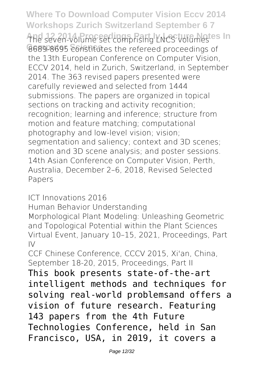**Where To Download Computer Vision Eccv 2014 Workshops Zurich Switzerland September 6 7** The seven-volume set comprising LNCS volumestes In 8689-8695 constitutes the refereed proceedings of the 13th European Conference on Computer Vision, ECCV 2014, held in Zurich, Switzerland, in September 2014. The 363 revised papers presented were carefully reviewed and selected from 1444 submissions. The papers are organized in topical sections on tracking and activity recognition; recognition; learning and inference; structure from motion and feature matching; computational photography and low-level vision; vision; segmentation and saliency; context and 3D scenes; motion and 3D scene analysis; and poster sessions. 14th Asian Conference on Computer Vision, Perth, Australia, December 2–6, 2018, Revised Selected Papers

ICT Innovations 2016

Human Behavior Understanding

Morphological Plant Modeling: Unleashing Geometric and Topological Potential within the Plant Sciences Virtual Event, January 10–15, 2021, Proceedings, Part  $1\sqrt{ }$ 

CCF Chinese Conference, CCCV 2015, Xi'an, China September 18-20, 2015, Proceedings, Part II

This book presents state-of-the-art intelligent methods and techniques for solving real-world problemsand offers a vision of future research. Featuring 143 papers from the 4th Future Technologies Conference, held in San Francisco, USA, in 2019, it covers a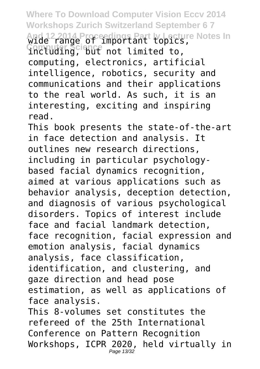**Where To Download Computer Vision Eccv 2014 Workshops Zurich Switzerland September 6 7 And 12 2014 Proceedings Part Iv Lecture Notes In Computer Science** wide range of important topics, including, but not limited to, computing, electronics, artificial intelligence, robotics, security and communications and their applications to the real world. As such, it is an interesting, exciting and inspiring read.

This book presents the state-of-the-art in face detection and analysis. It outlines new research directions, including in particular psychologybased facial dynamics recognition, aimed at various applications such as behavior analysis, deception detection, and diagnosis of various psychological disorders. Topics of interest include face and facial landmark detection, face recognition, facial expression and emotion analysis, facial dynamics analysis, face classification, identification, and clustering, and gaze direction and head pose estimation, as well as applications of face analysis. This 8-volumes set constitutes the

refereed of the 25th International Conference on Pattern Recognition Workshops, ICPR 2020, held virtually in Page 13/32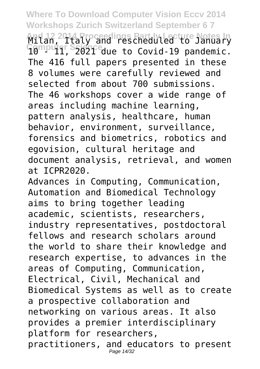**Where To Download Computer Vision Eccv 2014 Workshops Zurich Switzerland September 6 7** And 12, 2014 Proceedings Part Iv Lecture Notes In<br>Computer Saistreaue, to Covid-19, pandemic 10 Puil, S2021<sup>e</sup>due to Covid-19 pandemic. The 416 full papers presented in these 8 volumes were carefully reviewed and selected from about 700 submissions. The 46 workshops cover a wide range of areas including machine learning, pattern analysis, healthcare, human behavior, environment, surveillance, forensics and biometrics, robotics and egovision, cultural heritage and document analysis, retrieval, and women at ICPR2020.

Advances in Computing, Communication, Automation and Biomedical Technology aims to bring together leading academic, scientists, researchers, industry representatives, postdoctoral fellows and research scholars around the world to share their knowledge and research expertise, to advances in the areas of Computing, Communication, Electrical, Civil, Mechanical and Biomedical Systems as well as to create a prospective collaboration and networking on various areas. It also provides a premier interdisciplinary platform for researchers, practitioners, and educators to present Page 14/32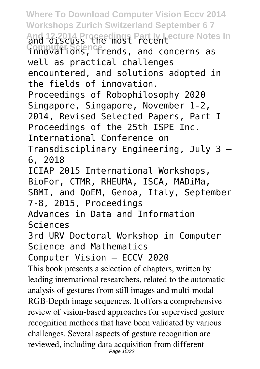**Where To Download Computer Vision Eccv 2014 Workshops Zurich Switzerland September 6 7** And 12.2014 Proceedings Part <u>Iv Lecture Notes In</u><br>
and discuss the most recent<br>
Somputer Science<sub>rends</sub> and concerns as innovations, trends, and concerns as well as practical challenges encountered, and solutions adopted in the fields of innovation. Proceedings of Robophilosophy 2020 Singapore, Singapore, November 1-2, 2014, Revised Selected Papers, Part I Proceedings of the 25th ISPE Inc. International Conference on Transdisciplinary Engineering, July 3 – 6, 2018 ICIAP 2015 International Workshops, BioFor, CTMR, RHEUMA, ISCA, MADiMa, SBMI, and QoEM, Genoa, Italy, September 7-8, 2015, Proceedings Advances in Data and Information Sciences 3rd URV Doctoral Workshop in Computer Science and Mathematics Computer Vision – ECCV 2020 This book presents a selection of chapters, written by leading international researchers, related to the automatic analysis of gestures from still images and multi-modal RGB-Depth image sequences. It offers a comprehensive review of vision-based approaches for supervised gesture recognition methods that have been validated by various challenges. Several aspects of gesture recognition are reviewed, including data acquisition from different Page 15/32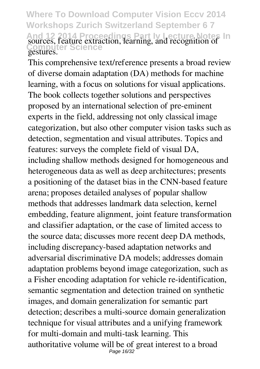**Where To Download Computer Vision Eccv 2014 Workshops Zurich Switzerland September 6 7** And 12 2014 Proceedings Part Iv Lecture Notes In<br>
sources, feature extraction, learning, and recognition of<br>
Costuments Science gestures.

This comprehensive text/reference presents a broad review of diverse domain adaptation (DA) methods for machine learning, with a focus on solutions for visual applications. The book collects together solutions and perspectives proposed by an international selection of pre-eminent experts in the field, addressing not only classical image categorization, but also other computer vision tasks such as detection, segmentation and visual attributes. Topics and features: surveys the complete field of visual DA, including shallow methods designed for homogeneous and heterogeneous data as well as deep architectures; presents a positioning of the dataset bias in the CNN-based feature arena; proposes detailed analyses of popular shallow methods that addresses landmark data selection, kernel embedding, feature alignment, joint feature transformation and classifier adaptation, or the case of limited access to the source data; discusses more recent deep DA methods, including discrepancy-based adaptation networks and adversarial discriminative DA models; addresses domain adaptation problems beyond image categorization, such as a Fisher encoding adaptation for vehicle re-identification, semantic segmentation and detection trained on synthetic images, and domain generalization for semantic part detection; describes a multi-source domain generalization technique for visual attributes and a unifying framework for multi-domain and multi-task learning. This authoritative volume will be of great interest to a broad Page 16/32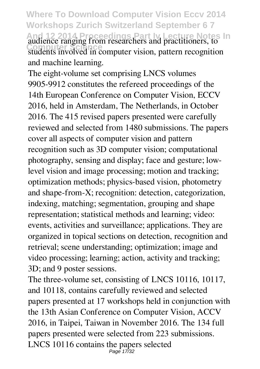**Where To Download Computer Vision Eccv 2014 Workshops Zurich Switzerland September 6 7** And 12 2014. Proceedings Part Iv Lecture Notes In<br>
audience ranging from researchers and practitioners, to students involved in computer vision, pattern recognition and machine learning.

The eight-volume set comprising LNCS volumes 9905-9912 constitutes the refereed proceedings of the 14th European Conference on Computer Vision, ECCV 2016, held in Amsterdam, The Netherlands, in October 2016. The 415 revised papers presented were carefully reviewed and selected from 1480 submissions. The papers cover all aspects of computer vision and pattern recognition such as 3D computer vision; computational photography, sensing and display; face and gesture; lowlevel vision and image processing; motion and tracking; optimization methods; physics-based vision, photometry and shape-from-X; recognition: detection, categorization, indexing, matching; segmentation, grouping and shape representation; statistical methods and learning; video: events, activities and surveillance; applications. They are organized in topical sections on detection, recognition and retrieval; scene understanding; optimization; image and video processing; learning; action, activity and tracking; 3D; and 9 poster sessions.

The three-volume set, consisting of LNCS 10116, 10117, and 10118, contains carefully reviewed and selected papers presented at 17 workshops held in conjunction with the 13th Asian Conference on Computer Vision, ACCV 2016, in Taipei, Taiwan in November 2016. The 134 full papers presented were selected from 223 submissions. LNCS 10116 contains the papers selected Page 17/32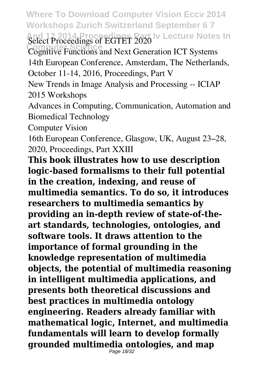**Where To Download Computer Vision Eccv 2014 Workshops Zurich Switzerland September 6 7** And 12 2014 Proceedings of EGTET 2020 <sup>Iv</sup> Lecture Notes In<br>Computer Superiors and Next Generation ICT Systems

Cognitive Functions and Next Generation ICT Systems

14th European Conference, Amsterdam, The Netherlands, October 11-14, 2016, Proceedings, Part V

New Trends in Image Analysis and Processing -- ICIAP 2015 Workshops

Advances in Computing, Communication, Automation and Biomedical Technology

Computer Vision

16th European Conference, Glasgow, UK, August 23–28, 2020, Proceedings, Part XXIII

**This book illustrates how to use description logic-based formalisms to their full potential in the creation, indexing, and reuse of multimedia semantics. To do so, it introduces researchers to multimedia semantics by providing an in-depth review of state-of-theart standards, technologies, ontologies, and software tools. It draws attention to the importance of formal grounding in the knowledge representation of multimedia objects, the potential of multimedia reasoning in intelligent multimedia applications, and presents both theoretical discussions and best practices in multimedia ontology engineering. Readers already familiar with mathematical logic, Internet, and multimedia fundamentals will learn to develop formally grounded multimedia ontologies, and map** Page 18/32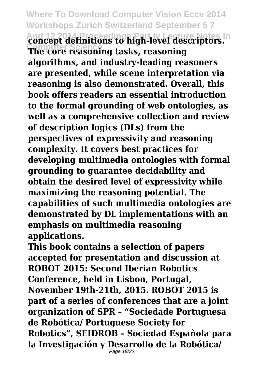**Where To Download Computer Vision Eccv 2014 Workshops Zurich Switzerland September 6 7 And 12 2014 Proceedings Part Iv Lecture Notes In Computer Science concept definitions to high-level descriptors. The core reasoning tasks, reasoning algorithms, and industry-leading reasoners are presented, while scene interpretation via reasoning is also demonstrated. Overall, this book offers readers an essential introduction to the formal grounding of web ontologies, as well as a comprehensive collection and review of description logics (DLs) from the perspectives of expressivity and reasoning complexity. It covers best practices for developing multimedia ontologies with formal grounding to guarantee decidability and obtain the desired level of expressivity while maximizing the reasoning potential. The capabilities of such multimedia ontologies are demonstrated by DL implementations with an emphasis on multimedia reasoning applications.**

**This book contains a selection of papers accepted for presentation and discussion at ROBOT 2015: Second Iberian Robotics Conference, held in Lisbon, Portugal, November 19th-21th, 2015. ROBOT 2015 is part of a series of conferences that are a joint organization of SPR – "Sociedade Portuguesa de Robótica/ Portuguese Society for Robotics", SEIDROB – Sociedad Española para la Investigación y Desarrollo de la Robótica/** Page 19/32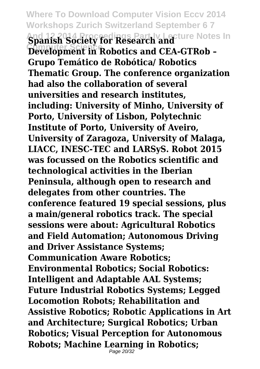**Where To Download Computer Vision Eccv 2014 Workshops Zurich Switzerland September 6 7** And 12,2014 Proceedings Part Iv Lecture Notes In<br>**Spanish Society for Research and**<br>**Developments** Bobotics and CEA-CTBob -**Development in Robotics and CEA-GTRob – Grupo Temático de Robótica/ Robotics Thematic Group. The conference organization had also the collaboration of several universities and research institutes, including: University of Minho, University of Porto, University of Lisbon, Polytechnic Institute of Porto, University of Aveiro, University of Zaragoza, University of Malaga, LIACC, INESC-TEC and LARSyS. Robot 2015 was focussed on the Robotics scientific and technological activities in the Iberian Peninsula, although open to research and delegates from other countries. The conference featured 19 special sessions, plus a main/general robotics track. The special sessions were about: Agricultural Robotics and Field Automation; Autonomous Driving and Driver Assistance Systems; Communication Aware Robotics; Environmental Robotics; Social Robotics: Intelligent and Adaptable AAL Systems; Future Industrial Robotics Systems; Legged Locomotion Robots; Rehabilitation and Assistive Robotics; Robotic Applications in Art and Architecture; Surgical Robotics; Urban Robotics; Visual Perception for Autonomous Robots; Machine Learning in Robotics;** Page 20/32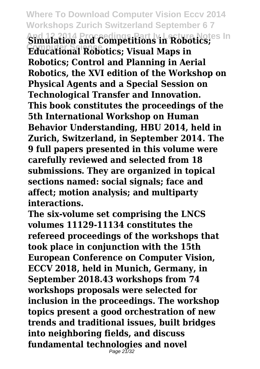**Where To Download Computer Vision Eccv 2014 Workshops Zurich Switzerland September 6 7 And 12 2014 Proceedings Part Iv Lecture Notes In Computer Science Simulation and Competitions in Robotics; Educational Robotics; Visual Maps in Robotics; Control and Planning in Aerial Robotics, the XVI edition of the Workshop on Physical Agents and a Special Session on Technological Transfer and Innovation. This book constitutes the proceedings of the 5th International Workshop on Human Behavior Understanding, HBU 2014, held in Zurich, Switzerland, in September 2014. The 9 full papers presented in this volume were carefully reviewed and selected from 18 submissions. They are organized in topical sections named: social signals; face and affect; motion analysis; and multiparty interactions.**

**The six-volume set comprising the LNCS volumes 11129-11134 constitutes the refereed proceedings of the workshops that took place in conjunction with the 15th European Conference on Computer Vision, ECCV 2018, held in Munich, Germany, in September 2018.43 workshops from 74 workshops proposals were selected for inclusion in the proceedings. The workshop topics present a good orchestration of new trends and traditional issues, built bridges into neighboring fields, and discuss fundamental technologies and novel** Page 21/32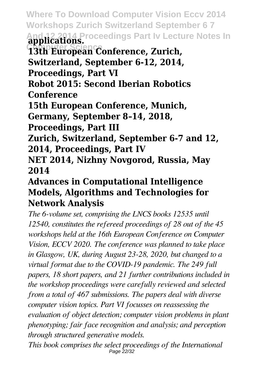**Where To Download Computer Vision Eccv 2014 Workshops Zurich Switzerland September 6 7 And 12 2014 Proceedings Part Iv Lecture Notes In Computer Science applications. 13th European Conference, Zurich, Switzerland, September 6-12, 2014, Proceedings, Part VI Robot 2015: Second Iberian Robotics Conference**

**15th European Conference, Munich,**

**Germany, September 8–14, 2018,**

**Proceedings, Part III**

**Zurich, Switzerland, September 6-7 and 12, 2014, Proceedings, Part IV**

**NET 2014, Nizhny Novgorod, Russia, May 2014**

## **Advances in Computational Intelligence Models, Algorithms and Technologies for Network Analysis**

*The 6-volume set, comprising the LNCS books 12535 until 12540, constitutes the refereed proceedings of 28 out of the 45 workshops held at the 16th European Conference on Computer Vision, ECCV 2020. The conference was planned to take place in Glasgow, UK, during August 23-28, 2020, but changed to a virtual format due to the COVID-19 pandemic. The 249 full papers, 18 short papers, and 21 further contributions included in the workshop proceedings were carefully reviewed and selected from a total of 467 submissions. The papers deal with diverse computer vision topics. Part VI focusses on reassessing the evaluation of object detection; computer vision problems in plant phenotyping; fair face recognition and analysis; and perception through structured generative models.*

*This book comprises the select proceedings of the International* Page 22/32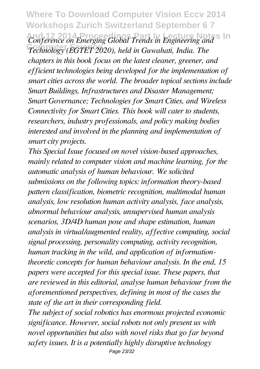**Where To Download Computer Vision Eccv 2014 Workshops Zurich Switzerland September 6 7 Conference on Emerging Global Trends in Engineering and S In Computer Science** *Technology (EGTET 2020), held in Guwahati, India. The chapters in this book focus on the latest cleaner, greener, and efficient technologies being developed for the implementation of smart cities across the world. The broader topical sections include Smart Buildings, Infrastructures and Disaster Management; Smart Governance; Technologies for Smart Cities, and Wireless Connectivity for Smart Cities. This book will cater to students, researchers, industry professionals, and policy making bodies interested and involved in the planning and implementation of smart city projects.*

*This Special Issue focused on novel vision-based approaches, mainly related to computer vision and machine learning, for the automatic analysis of human behaviour. We solicited submissions on the following topics: information theory-based pattern classification, biometric recognition, multimodal human analysis, low resolution human activity analysis, face analysis, abnormal behaviour analysis, unsupervised human analysis scenarios, 3D/4D human pose and shape estimation, human analysis in virtual/augmented reality, affective computing, social signal processing, personality computing, activity recognition, human tracking in the wild, and application of informationtheoretic concepts for human behaviour analysis. In the end, 15 papers were accepted for this special issue. These papers, that are reviewed in this editorial, analyse human behaviour from the aforementioned perspectives, defining in most of the cases the state of the art in their corresponding field.*

*The subject of social robotics has enormous projected economic significance. However, social robots not only present us with novel opportunities but also with novel risks that go far beyond safety issues. It is a potentially highly disruptive technology* Page 23/32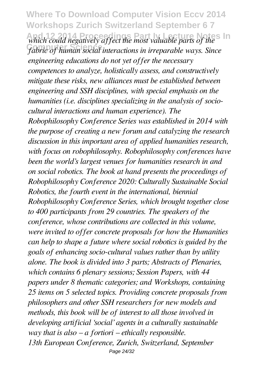**Where To Download Computer Vision Eccv 2014 Workshops Zurich Switzerland September 6 7** which could negatively affect the most valuable parts of the<sup>s</sup> *fabric of human social interactions in irreparable ways. Since engineering educations do not yet offer the necessary competences to analyze, holistically assess, and constructively mitigate these risks, new alliances must be established between engineering and SSH disciplines, with special emphasis on the humanities (i.e. disciplines specializing in the analysis of sociocultural interactions and human experience). The Robophilosophy Conference Series was established in 2014 with the purpose of creating a new forum and catalyzing the research discussion in this important area of applied humanities research, with focus on robophilosophy. Robophilosophy conferences have been the world's largest venues for humanities research in and on social robotics. The book at hand presents the proceedings of Robophilosophy Conference 2020: Culturally Sustainable Social Robotics, the fourth event in the international, biennial Robophilosophy Conference Series, which brought together close to 400 participants from 29 countries. The speakers of the conference, whose contributions are collected in this volume, were invited to offer concrete proposals for how the Humanities can help to shape a future where social robotics is guided by the goals of enhancing socio-cultural values rather than by utility alone. The book is divided into 3 parts; Abstracts of Plenaries, which contains 6 plenary sessions; Session Papers, with 44 papers under 8 thematic categories; and Workshops, containing 25 items on 5 selected topics. Providing concrete proposals from philosophers and other SSH researchers for new models and methods, this book will be of interest to all those involved in developing artificial 'social' agents in a culturally sustainable way that is also – a fortiori – ethically responsible. 13th European Conference, Zurich, Switzerland, September* Page 24/32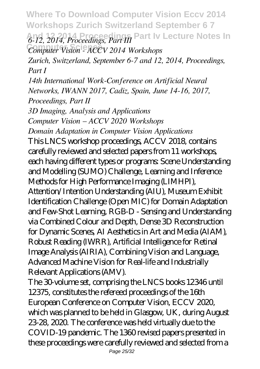**Where To Download Computer Vision Eccv 2014 Workshops Zurich Switzerland September 6 7 And 12 2014 Proceedings Part Iv Lecture Notes In** *6-12, 2014, Proceedings, Part III* **Computer Science** *Computer Vision - ACCV 2014 Workshops*

*Zurich, Switzerland, September 6-7 and 12, 2014, Proceedings, Part I*

*14th International Work-Conference on Artificial Neural Networks, IWANN 2017, Cadiz, Spain, June 14-16, 2017, Proceedings, Part II*

*3D Imaging, Analysis and Applications Computer Vision – ACCV 2020 Workshops*

*Domain Adaptation in Computer Vision Applications*

This LNCS workshop proceedings, ACCV 2018, contains carefully reviewed and selected papers from 11 workshops, each having different types or programs: Scene Understanding and Modelling (SUMO) Challenge, Learning and Inference Methods for High Performance Imaging (LIMHPI), Attention/Intention Understanding (AIU), Museum Exhibit Identification Challenge (Open MIC) for Domain Adaptation and Few-Shot Learning, RGB-D - Sensing and Understanding via Combined Colour and Depth, Dense 3D Reconstruction for Dynamic Scenes, AI Aesthetics in Art and Media (AIAM), Robust Reading (IWRR), Artificial Intelligence for Retinal Image Analysis (AIRIA), Combining Vision and Language, Advanced Machine Vision for Real-life and Industrially Relevant Applications (AMV).

The 30-volume set, comprising the LNCS books 12346 until 12375, constitutes the refereed proceedings of the 16th European Conference on Computer Vision, ECCV 2020, which was planned to be held in Glasgow, UK, during August 23-28, 2020. The conference was held virtually due to the COVID-19 pandemic. The 1360 revised papers presented in these proceedings were carefully reviewed and selected from a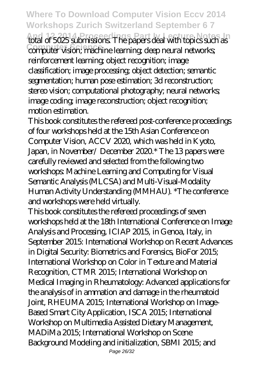**Where To Download Computer Vision Eccv 2014 Workshops Zurich Switzerland September 6 7 And 12 2014 Proceedings Part Iv Leadings And 12 2014 Proceedings Part Islands.** The papers deal with topics such as **Computer vision; machine learning; deep neural networks** reinforcement learning; object recognition; image classification; image processing; object detection; semantic segmentation; human pose estimation; 3d reconstruction; stereo vision; computational photography; neural networks; image coding; image reconstruction; object recognition; motion estimation.

This book constitutes the refereed post-conference proceedings of four workshops held at the 15th Asian Conference on Computer Vision, ACCV 2020, which was held in Kyoto, Japan, in November/ December 2020.\* The 13 papers were carefully reviewed and selected from the following two workshops: Machine Learning and Computing for Visual Semantic Analysis (MLCSA) and Multi-Visual-Modality Human Activity Understanding (MMHAU). \*The conference and workshops were held virtually.

This book constitutes the refereed proceedings of seven workshops held at the 18th International Conference on Image Analysis and Processing, ICIAP 2015, in Genoa, Italy, in September 2015: International Workshop on Recent Advances in Digital Security: Biometrics and Forensics, BioFor 2015; International Workshop on Color in Texture and Material Recognition, CTMR 2015; International Workshop on Medical Imaging in Rheumatology: Advanced applications for the analysis of in ammation and damage in the rheumatoid Joint, RHEUMA 2015; International Workshop on Image-Based Smart City Application, ISCA 2015; International Workshop on Multimedia Assisted Dietary Management, MADiMa 2015; International Workshop on Scene Background Modeling and initialization, SBMI 2015; and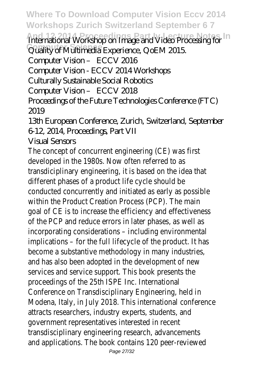**Where To Download Computer Vision Eccv 2014 Workshops Zurich Switzerland September 6 7**

**And 12 2014 Proceedings Part Iv Lecture Notes In** International Workshop on Image and Video Processing for

Quality of Multimedia Experience, QoEM 2015.

Computer Vision – ECCV 2016

Computer Vision - ECCV 2014 Workshops

Culturally Sustainable Social Robotics

Computer Vision – ECCV 2018

Proceedings of the Future Technologies Conference (FTC) 2019

## 13th European Conference, Zurich, Switzerland, September 6-12, 2014, Proceedings, Part VII

## Visual Sensors

The concept of concurrent engineering (CE) was first developed in the 1980s. Now often referred to as transdiciplinary engineering, it is based on the idea that different phases of a product life cycle should be conducted concurrently and initiated as early as possible within the Product Creation Process (PCP). The main goal of CE is to increase the efficiency and effectiveness of the PCP and reduce errors in later phases, as well as incorporating considerations – including environmental implications – for the full lifecycle of the product. It has become a substantive methodology in many industries, and has also been adopted in the development of new services and service support. This book presents the proceedings of the 25th ISPE Inc. International Conference on Transdisciplinary Engineering, held in Modena, Italy, in July 2018. This international conference attracts researchers, industry experts, students, and government representatives interested in recent transdisciplinary engineering research, advancements and applications. The book contains 120 peer-reviewed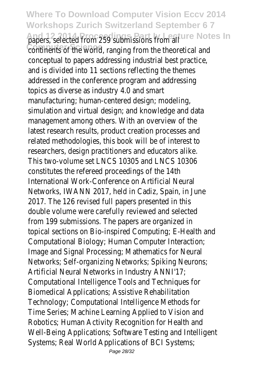**Where To Download Computer Vision Eccv 2014 Workshops Zurich Switzerland September 6 7** papers, selected from 259 submissions from all ecture Notes In continents of the world, ranging from the theoretical and conceptual to papers addressing industrial best practice, and is divided into 11 sections reflecting the themes addressed in the conference program and addressing topics as diverse as industry 4.0 and smart manufacturing; human-centered design; modeling, simulation and virtual design; and knowledge and data management among others. With an overview of the latest research results, product creation processes and related methodologies, this book will be of interest to researchers, design practitioners and educators alike. This two-volume set LNCS 10305 and LNCS 10306 constitutes the refereed proceedings of the 14th International Work-Conference on Artificial Neural Networks, IWANN 2017, held in Cadiz, Spain, in June 2017. The 126 revised full papers presented in this double volume were carefully reviewed and selected from 199 submissions. The papers are organized in topical sections on Bio-inspired Computing; E-Health and Computational Biology; Human Computer Interaction; Image and Signal Processing; Mathematics for Neural Networks; Self-organizing Networks; Spiking Neurons; Artificial Neural Networks in Industry ANNI'17; Computational Intelligence Tools and Techniques for Biomedical Applications; Assistive Rehabilitation Technology; Computational Intelligence Methods for Time Series; Machine Learning Applied to Vision and Robotics; Human Activity Recognition for Health and Well-Being Applications; Software Testing and Intelligent Systems; Real World Applications of BCI Systems;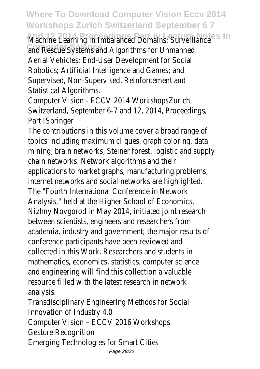**Where To Download Computer Vision Eccv 2014 Workshops Zurich Switzerland September 6 7**

Machine Learning in Imbalanced Domains; Surveillance **Notes In** and Rescue Systems and Algorithms for Unmanned Aerial Vehicles; End-User Development for Social Robotics; Artificial Intelligence and Games; and Supervised, Non-Supervised, Reinforcement and Statistical Algorithms.

Computer Vision - ECCV 2014 WorkshopsZurich, Switzerland, September 6-7 and 12, 2014, Proceedings, Part ISpringer

The contributions in this volume cover a broad range of topics including maximum cliques, graph coloring, data mining, brain networks, Steiner forest, logistic and supply chain networks. Network algorithms and their applications to market graphs, manufacturing problems, internet networks and social networks are highlighted. The "Fourth International Conference in Network Analysis," held at the Higher School of Economics, Nizhny Novgorod in May 2014, initiated joint research between scientists, engineers and researchers from academia, industry and government; the major results of conference participants have been reviewed and collected in this Work. Researchers and students in mathematics, economics, statistics, computer science and engineering will find this collection a valuable resource filled with the latest research in network analysis.

Transdisciplinary Engineering Methods for Social Innovation of Industry 4.0 Computer Vision – ECCV 2016 Workshops Gesture Recognition Emerging Technologies for Smart Cities Page 29/32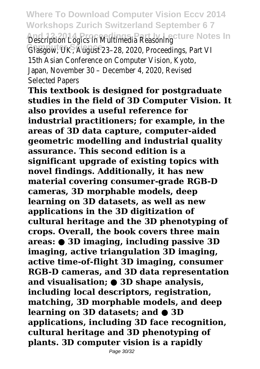**Where To Download Computer Vision Eccv 2014 Workshops Zurich Switzerland September 6 7** Description Logics in Multimedia Reasoning<sup>ly</sup> Lecture Notes In Glasgow, UK, August 23-28, 2020, Proceedings, Part VI 15th Asian Conference on Computer Vision, Kyoto, Japan, November 30 – December 4, 2020, Revised Selected Papers

**This textbook is designed for postgraduate studies in the field of 3D Computer Vision. It also provides a useful reference for industrial practitioners; for example, in the areas of 3D data capture, computer-aided geometric modelling and industrial quality assurance. This second edition is a significant upgrade of existing topics with novel findings. Additionally, it has new material covering consumer-grade RGB-D cameras, 3D morphable models, deep learning on 3D datasets, as well as new applications in the 3D digitization of cultural heritage and the 3D phenotyping of crops. Overall, the book covers three main areas: ● 3D imaging, including passive 3D imaging, active triangulation 3D imaging, active time-of-flight 3D imaging, consumer RGB-D cameras, and 3D data representation and visualisation; ● 3D shape analysis, including local descriptors, registration, matching, 3D morphable models, and deep learning on 3D datasets; and ● 3D applications, including 3D face recognition, cultural heritage and 3D phenotyping of plants. 3D computer vision is a rapidly**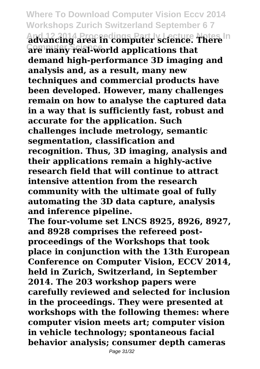**Where To Download Computer Vision Eccv 2014 Workshops Zurich Switzerland September 6 7 And 12 2014 Proceedings Part Iv Lecture Notes In advancing area in computer science. There Computer Science are many real-world applications that demand high-performance 3D imaging and analysis and, as a result, many new techniques and commercial products have been developed. However, many challenges remain on how to analyse the captured data in a way that is sufficiently fast, robust and accurate for the application. Such challenges include metrology, semantic segmentation, classification and recognition. Thus, 3D imaging, analysis and their applications remain a highly-active research field that will continue to attract intensive attention from the research community with the ultimate goal of fully automating the 3D data capture, analysis and inference pipeline.**

**The four-volume set LNCS 8925, 8926, 8927, and 8928 comprises the refereed postproceedings of the Workshops that took place in conjunction with the 13th European Conference on Computer Vision, ECCV 2014, held in Zurich, Switzerland, in September 2014. The 203 workshop papers were carefully reviewed and selected for inclusion in the proceedings. They were presented at workshops with the following themes: where computer vision meets art; computer vision in vehicle technology; spontaneous facial behavior analysis; consumer depth cameras**